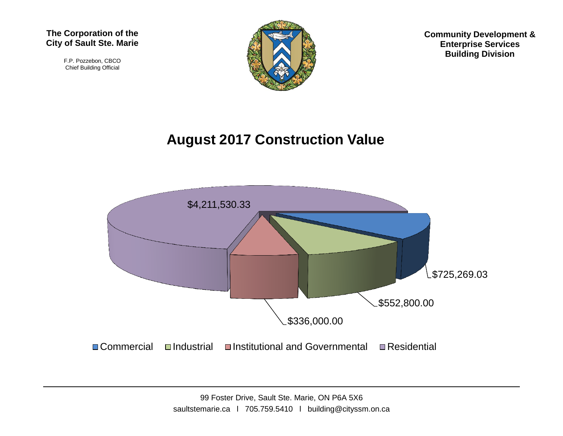F.P. Pozzebon, CBCO Chief Building Official



**Community Development & Enterprise Services Building Division**

## **August 2017 Construction Value**

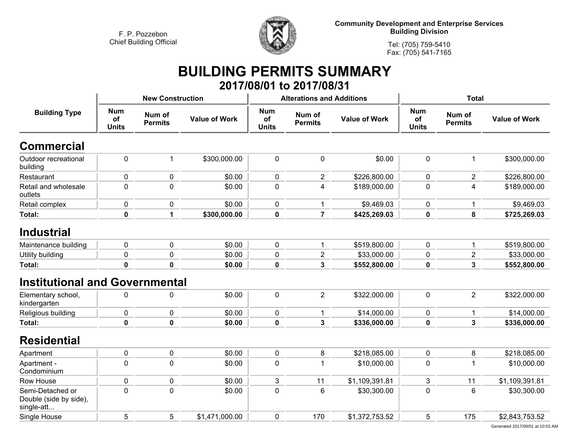

**Community Development and Enterprise Services Building Division**

**Tel: (705) 759-5410Fax: (705) 541-7165**

## **BUILDING PERMITS SUMMARY**

|                                                          |                                  |                          |                      |                                  | 2017/08/01 to 2017/08/31         |                      |                                  |                          |                      |
|----------------------------------------------------------|----------------------------------|--------------------------|----------------------|----------------------------------|----------------------------------|----------------------|----------------------------------|--------------------------|----------------------|
|                                                          |                                  | <b>New Construction</b>  |                      |                                  | <b>Alterations and Additions</b> |                      | <b>Total</b>                     |                          |                      |
| <b>Building Type</b>                                     | <b>Num</b><br>of<br><b>Units</b> | Num of<br><b>Permits</b> | <b>Value of Work</b> | <b>Num</b><br>of<br><b>Units</b> | Num of<br><b>Permits</b>         | <b>Value of Work</b> | <b>Num</b><br>of<br><b>Units</b> | Num of<br><b>Permits</b> | <b>Value of Work</b> |
| <b>Commercial</b>                                        |                                  |                          |                      |                                  |                                  |                      |                                  |                          |                      |
| Outdoor recreational<br>building                         | $\pmb{0}$                        | $\mathbf{1}$             | \$300,000.00         | $\pmb{0}$                        | $\pmb{0}$                        | \$0.00               | $\mathbf 0$                      | $\mathbf{1}$             | \$300,000.00         |
| Restaurant                                               | $\mathbf 0$                      | $\pmb{0}$                | \$0.00               | 0                                | $\overline{2}$                   | \$226,800.00         | 0                                | $\overline{c}$           | \$226,800.00         |
| Retail and wholesale<br>outlets                          | 0                                | $\mathbf 0$              | \$0.00               | $\pmb{0}$                        | 4                                | \$189,000.00         | $\mathbf 0$                      | 4                        | \$189,000.00         |
| Retail complex                                           | 0                                | $\pmb{0}$                | \$0.00               | $\pmb{0}$                        | 1                                | \$9,469.03           | $\pmb{0}$                        | 1                        | \$9,469.03           |
| <b>Total:</b>                                            | $\mathbf{0}$                     | 1                        | \$300,000.00         | $\mathbf 0$                      | $\overline{7}$                   | \$425,269.03         | 0                                | 8                        | \$725,269.03         |
| <b>Industrial</b>                                        |                                  |                          |                      |                                  |                                  |                      |                                  |                          |                      |
| Maintenance building                                     | 0                                | $\mathbf 0$              | \$0.00               | 0                                | 1                                | \$519,800.00         | $\mathbf 0$                      | 1                        | \$519,800.00         |
| Utility building                                         | 0                                | $\pmb{0}$                | \$0.00               | $\pmb{0}$                        | $\overline{c}$                   | \$33,000.00          | 0                                | $\overline{\mathbf{c}}$  | \$33,000.00          |
| Total:                                                   | 0                                | $\mathbf 0$              | \$0.00               | $\pmb{0}$                        | 3                                | \$552,800.00         | 0                                | $\overline{\mathbf{3}}$  | \$552,800.00         |
| <b>Institutional and Governmental</b>                    |                                  |                          |                      |                                  |                                  |                      |                                  |                          |                      |
| Elementary school,<br>kindergarten                       | 0                                | $\mathbf 0$              | \$0.00               | 0                                | $\overline{2}$                   | \$322,000.00         | $\mathbf 0$                      | $\overline{2}$           | \$322,000.00         |
| Religious building                                       | 0                                | $\pmb{0}$                | \$0.00               | 0                                | 1                                | \$14,000.00          | 0                                | $\mathbf{1}$             | \$14,000.00          |
| <b>Total:</b>                                            | 0                                | $\mathbf 0$              | \$0.00               | $\pmb{0}$                        | 3                                | \$336,000.00         | 0                                | 3                        | \$336,000.00         |
| <b>Residential</b>                                       |                                  |                          |                      |                                  |                                  |                      |                                  |                          |                      |
| Apartment                                                | 0                                | $\pmb{0}$                | \$0.00               | 0                                | 8                                | \$218,085.00         | $\mathbf 0$                      | 8                        | \$218,085.00         |
| Apartment -<br>Condominium                               | 0                                | $\mathbf 0$              | \$0.00               | 0                                | 1                                | \$10,000.00          | $\mathbf 0$                      | $\mathbf{1}$             | \$10,000.00          |
| <b>Row House</b>                                         | 0                                | $\mathbf 0$              | \$0.00               | 3                                | 11                               | \$1,109,391.81       | 3                                | 11                       | \$1,109,391.81       |
| Semi-Detached or<br>Double (side by side),<br>single-att | 0                                | $\mathbf 0$              | \$0.00               | $\pmb{0}$                        | 6                                | \$30,300.00          | $\mathbf 0$                      | 6                        | \$30,300.00          |
| Single House                                             | 5                                | 5                        | \$1,471,000.00       | 0                                | 170                              | \$1,372,753.52       | 5                                | 175                      | \$2,843,753.52       |
|                                                          |                                  |                          |                      |                                  |                                  |                      |                                  |                          |                      |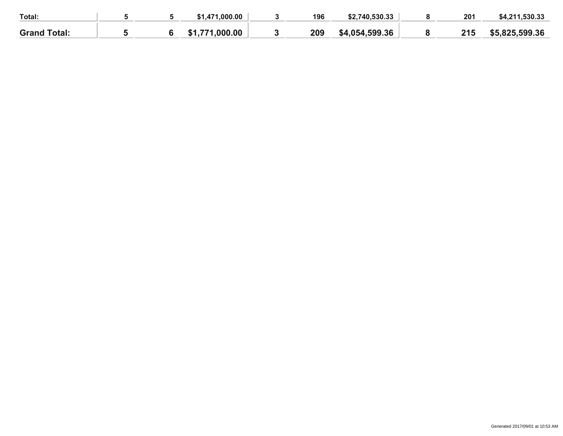| Total:              |  | ,471,000.00    | 196 | \$2.740.530.33 | 201 | \$4,211,530.33 |
|---------------------|--|----------------|-----|----------------|-----|----------------|
| <b>Grand Total:</b> |  | \$1,771,000,00 | 209 | \$4,054,599.36 | 215 | \$5,825,599,36 |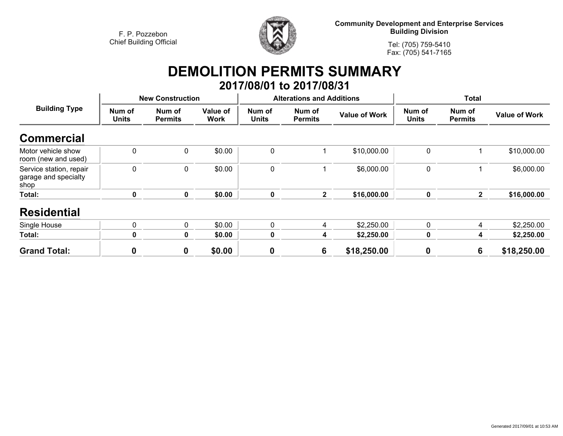

**Community Development and Enterprise Services Building Division**

**Tel: (705) 759-5410Fax: (705) 541-7165**

## **DEMOLITION PERMITS SUMMARY**

|                                                         |                        |                          |                  |                        | 2017/08/01 to 2017/08/31         |                      |                        |                          |                      |
|---------------------------------------------------------|------------------------|--------------------------|------------------|------------------------|----------------------------------|----------------------|------------------------|--------------------------|----------------------|
|                                                         |                        | <b>New Construction</b>  |                  |                        | <b>Alterations and Additions</b> |                      | <b>Total</b>           |                          |                      |
| <b>Building Type</b>                                    | Num of<br><b>Units</b> | Num of<br><b>Permits</b> | Value of<br>Work | Num of<br><b>Units</b> | Num of<br><b>Permits</b>         | <b>Value of Work</b> | Num of<br><b>Units</b> | Num of<br><b>Permits</b> | <b>Value of Work</b> |
| <b>Commercial</b>                                       |                        |                          |                  |                        |                                  |                      |                        |                          |                      |
| Motor vehicle show<br>room (new and used)               | $\mathbf 0$            | $\mathbf 0$              | \$0.00           | $\mathbf{0}$           |                                  | \$10,000.00          | $\mathbf 0$            |                          | \$10,000.00          |
| Service station, repair<br>garage and specialty<br>shop | $\mathbf 0$            | $\mathbf 0$              | \$0.00           | $\mathbf 0$            |                                  | \$6,000.00           | $\mathbf 0$            |                          | \$6,000.00           |
| Total:                                                  | 0                      | $\mathbf 0$              | \$0.00           | $\mathbf 0$            | $\mathbf{2}$                     | \$16,000.00          | $\mathbf 0$            | $\mathbf{2}$             | \$16,000.00          |
| <b>Residential</b>                                      |                        |                          |                  |                        |                                  |                      |                        |                          |                      |
| Single House                                            | 0                      | $\mathbf{0}$             | \$0.00           | $\mathbf{0}$           | 4                                | \$2,250.00           | $\mathbf{0}$           | 4                        | \$2,250.00           |
| Total:                                                  | 0                      | 0                        | \$0.00           | $\mathbf 0$            | 4                                | \$2,250.00           | $\mathbf 0$            | 4                        | \$2,250.00           |
| <b>Grand Total:</b>                                     | 0                      | 0                        | \$0.00           | $\boldsymbol{0}$       | 6                                | \$18,250.00          | $\boldsymbol{0}$       | 6                        | \$18,250.00          |